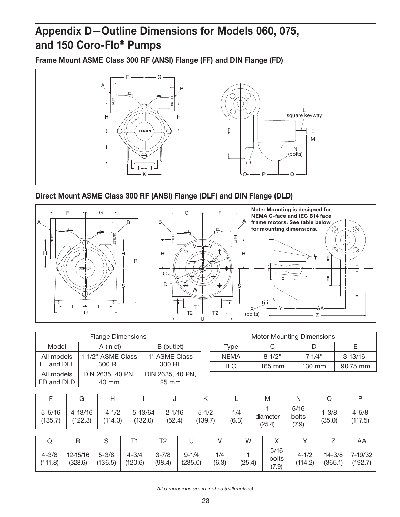## Appendix D—Outline Dimensions for Models 060, 075, and 150 Coro-Flo® Pumps

Frame Mount ASME Class 300 RF (ANSI) Flange (FF) and DIN Flange (FD)



Direct Mount ASME Class 300 RF (ANSI) Flange (DLF) and DIN Flange (DLD)



| <b>Flange Dimensions</b> |                   |                  |  |  |  |  |  |  |
|--------------------------|-------------------|------------------|--|--|--|--|--|--|
| Model                    | B (outlet)        |                  |  |  |  |  |  |  |
| All models               | 1-1/2" ASME Class | 1" ASME Class    |  |  |  |  |  |  |
| FF and DLF               | 300 RF            | 300 RF           |  |  |  |  |  |  |
| All models               | DIN 2635, 40 PN,  | DIN 2635, 40 PN, |  |  |  |  |  |  |
| FD and DLD               | 40 mm             | $25 \text{ mm}$  |  |  |  |  |  |  |

| <b>Motor Mounting Dimensions</b> |          |                  |              |  |  |  |  |  |
|----------------------------------|----------|------------------|--------------|--|--|--|--|--|
| Type                             |          |                  |              |  |  |  |  |  |
| <b>NEMA</b>                      | $8-1/2"$ | $7 - 1/4"$       | $3 - 13/16"$ |  |  |  |  |  |
| IFC.                             | $165$ mm | $130 \text{ mm}$ | 90.75 mm     |  |  |  |  |  |

|                       | G                      | Н                    |                        | J                    | Κ                    |              |              | M                      | N                      | O                     | P                    |
|-----------------------|------------------------|----------------------|------------------------|----------------------|----------------------|--------------|--------------|------------------------|------------------------|-----------------------|----------------------|
| $5 - 5/16$<br>(135.7) | $4 - 13/16$<br>(122.3) | $4 - 1/2$<br>(114.3) | $5 - 13/64$<br>(132.0) | $2 - 1/16$<br>(52.4) | $5 - 1/2$<br>(139.7) |              | 1/4<br>(6.3) | diameter<br>(25.4)     | 5/16<br>bolts<br>(7.9) | $1 - 3/8$<br>(35.0)   | $4 - 5/8$<br>(117.5) |
|                       |                        |                      |                        |                      |                      |              |              |                        |                        |                       |                      |
| Q                     | R                      | S                    | Τ1                     | T2                   | U                    |              | W            |                        |                        |                       | AA                   |
| $4 - 3/8$<br>(111.8)  | 12-15/16<br>(328.6)    | $5 - 3/8$<br>(136.5) | $4 - 3/4$<br>(120.6)   | $3 - 7/8$<br>(98.4)  | $9 - 1/4$<br>(235.0) | 1/4<br>(6.3) | (25.4)       | 5/16<br>bolts<br>(7.9) | $4 - 1/2$<br>(114.2)   | $14 - 3/8$<br>(365.1) | 7-19/32<br>(192.7)   |

*All dimensions are in inches (millimeters).*